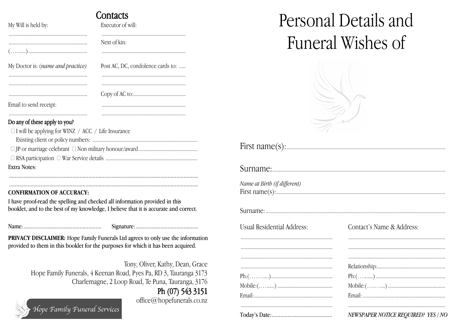|                                   | Contacts                          |
|-----------------------------------|-----------------------------------|
| My Will is held by:               | Executor of will:                 |
|                                   | Next of kin:                      |
| My Doctor is: (name and practice) | Post AC, DC, condolence cards to: |
|                                   |                                   |
| Email to send receipt:            |                                   |
|                                   |                                   |

## Do any of these apply to you?

| $\Box$ I will be applying for WINZ / ACC / Life Insurance |
|-----------------------------------------------------------|
|                                                           |
|                                                           |
|                                                           |
| Extra Notes:                                              |
|                                                           |

## **CONFIRMATION OF ACCURACY:**

I have proof-read the spelling and checked all information provided in this booklet, and to the best of my knowledge, I believe that it is accurate and correct.

**PRIVACY DISCLAIMER:** Hope Family Funerals Ltd agrees to only use the information provided to them in this booklet for the purposes for which it has been acquired.

Tony, Oliver, Kathy, Dean, Grace Hope Family Funerals, 4 Keenan Road, Pyes Pa, RD 3, Tauranga 3173 Charlemagne, 2 Loop Road, Te Puna, Tauranga, 3176

## Ph (07) 543 3151

office@hopefunerals.co.nz



Personal Details and Funeral Wishes of



| First name(s): |  |
|----------------|--|
|----------------|--|

Surname:

| Name at Birth (if different) |  |  |  |
|------------------------------|--|--|--|
|                              |  |  |  |

**Usual Residential Address:** 

| Contact's Name & Address:                                                                                                                                                                                                                                                                                                                                                                                                                     |
|-----------------------------------------------------------------------------------------------------------------------------------------------------------------------------------------------------------------------------------------------------------------------------------------------------------------------------------------------------------------------------------------------------------------------------------------------|
|                                                                                                                                                                                                                                                                                                                                                                                                                                               |
|                                                                                                                                                                                                                                                                                                                                                                                                                                               |
| $\begin{minipage}{0.5\textwidth} \begin{tabular}{ l l l } \hline & \multicolumn{1}{ l l } \hline & \multicolumn{1}{ l } \multicolumn{1}{ l } \multicolumn{1}{ l } \multicolumn{1}{ l } \multicolumn{1}{ l } \multicolumn{1}{ l } \multicolumn{1}{ l } \multicolumn{1}{ l } \multicolumn{1}{ l } \multicolumn{1}{ l } \multicolumn{1}{ l } \multicolumn{1}{ l } \multicolumn{1}{ l } \multicolumn{1}{ l } \multicolumn{1}{ l } \multicolumn{1$ |
|                                                                                                                                                                                                                                                                                                                                                                                                                                               |
|                                                                                                                                                                                                                                                                                                                                                                                                                                               |
| ${\rm Mobile:}(\ldots, \ldots, \ldots)$                                                                                                                                                                                                                                                                                                                                                                                                       |
|                                                                                                                                                                                                                                                                                                                                                                                                                                               |
|                                                                                                                                                                                                                                                                                                                                                                                                                                               |

## NEWSPAPER NOTICE REQUIRED? YES / NO